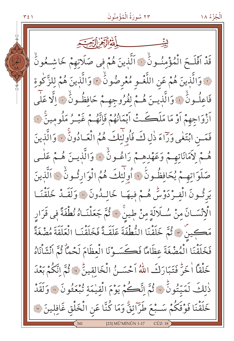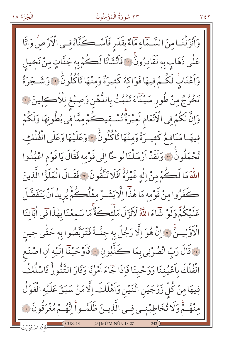# ٢٣ سُورَةُ الْمُؤْمِنُونَ

وَانْزَلْنَـامِنَ السَّـمَّاءِمَآءً بِقَدَرِ فَاَسْـكَنَّاهُ فِـى الْأَرْضُ وَإِنَّا عَلٰی ذَهَاب به لَقَادِرُونَ ۚ « فَأَنْشَأْنَا لَڪُمْ به جَنَّاتٍ مِنْ نَخِيل وَاَعْنَابُ لَكُمْ فِيهَا فَوَاكِهُ كَثِيرَةٌ وَمِنْهَا تَأْكُلُونَ ۚ وَشَجَرَةً تَخْرُجُ مِنْ طُورِ سَيْنَاءَ تَنْبُتُ بِاللَّهْنِ وَصِبْغِ لِلْاَكِلِينَ ۞ وَإِنَّ لَكُمْ فِي الْأَنْعَامِ لَعِبْرَةً نُسْتِيكُمْ مِمَّا فِي بُطُونِهَا وَلَكُمْ فِيهَا مَنَافِعُ كَثِيرَةٌ وَمِنْهَا تَأْكُلُونُ ۚ وَعَلَيْهَا وَعَلَى الْفُلْك تُحْمَلُونَ \* وَلَقَدْ أَرْسَلْنَا نُوحًا إِلَٰى قَوْمِهِ فَقَالَ يَا قَوْمِ اعْبُدُوا اللَّهَ مَا لَكُمْ مِنْ إِلٰهٍ غَيْرُهُ افَلَا تَتَّقُونَ \* فَقَالَ الْمَلَؤُا الَّذِينَ كَفَرُوا مِنْ قَوْمِهِ مَا هٰذٓٓا إِلَّا بَشَـرٌ مِثْلُكُمْ يُرِيدُ اَنْ يَتَفَصَّلَ عَلَيْكُمّْ وَلَوْ شَاءَ اللَّهُ لَأَنْزَلَ مَلْئِكَةً مَا سَمِعْنَا بِهٰذَا فِي اٰبَآئِنَا الْاَوَّلِيتُنَّ \* إِنَّ هُوَ اِلَّا رَجُلٌ بِهِ جِنَّـةٌ فَتَرَبَّصُوا بِهِ حَتَّى جِينِ نَّ قَالَ رَبِّ انْصُرْنِي بِمَا كَذَّبُونِ ۞ فَأَوْحَيْنَا إِلَيْهِ أَنِ اصْنَعِ الْفُلْكَ بِاَعْيُنِنَا وَوَحْيِنَا فَإِذَا جَاءَ اَمْرُنَا وَفَارَ التَّنُّورُ فَاسْلُكْ فِيهَا مِنْ كُلِّ زَوْجَيْنِ اثْنَيْنِ وَاَهْلَكَ اِلَّامَنْ سَبَقَ عَلَيْهِ الْقَوْلُ مِنْهُمْ وَلَا تُخَاطِبْنِي فِي الَّذِينَ ظَلَمُواْ اِنَّهُمْ مُغْرَقُونَ ۞ [23] MÜ'MİNÛN 18-27 ل<br>فَإِذَا اسْتَوَ بِّتَ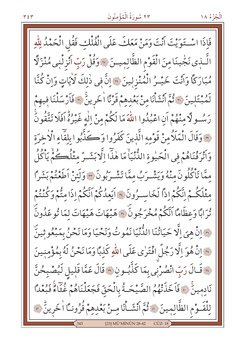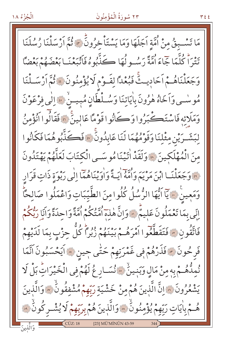# ٢٣ سُورَةُ الْمُؤْمِنُونَ

مَا تَسْبِقُ مِنْ اُمَّةِ اَجَلَهَا وَمَا يَسْتَأْخِرُونَ \* فُمَّ اَرْسَلْنَا رُسُلَنَا تَتْرَاْ كُلَّمَا جَاءَ أُمَّةً رَسُـولُهَا ڪَذَّبُوهُ فَأَتْبَعْنَـا بَعْضَهُمْ بَعْضًا وَجَعَلْنَاهُمْ اَحَادِيتْ فَبُعْدًا لِقَوْمِ لَا يُؤْمِنُونَ ﴾ ثُمَّ اَرْسَـلْنَا مُوسْمِي وَاَخَاهُ هٰرُونَ بِاٰيَاتِنَا وَسُلْطَانٍ مُبِيسٌ ﴾ [الٰي فِرْعَوْنَ وَمَلَائِهِ فَاسْتَكْبَرُوا وَكَانُوا قَوْمًا عَالينَّ ۞ فَقَالُوا أَنُؤْمِنُ لْبَشْـرَيْنِ مِثْلُنَا وَقَوْمُهُمَا لَنَا عَابِدُونَ ۞ فَكَذَّبُوهُمَا فَكَانُوا مِنَ الْمُهْلَكِينَ ۞ وَلَقَدْ اٰتَيْنَا مُوسَى الْكِتَابَ لَعَلَّهُمْ يَهْتَدُونَ وَ» وَجَعَلْنَــا ابْنَ مَرْيَمَ وَامَّهُ أَيَـةً وَأُوِينَاهُمَّا إِلَٰى رَبْوَةِ ذَاتٍ قَرَارٍ وَمَعِينَ ۞ يَاۤ اَيُّهَا الرُّسُلُ كُلُوامِنَ الطَّيِّبَاتِ وَاعْمَلُوا صَالِحًاۖ إِنِّي بِمَا تَعْمَلُونَ عَلِيمٌ ۞ وَإِنَّ هٰذِ ۖ أُمَّتُكُمْ أُمَّةً وَاحِدَةً وَأَنَا رَبُّكُمْ فَاتَّقُونِ ۞ فَتَقَطَّعُوا آمْرَهُمْ بَيْنَهُمْ زُبُراً كُلَّ حِزْبٍ بِمَا لَدَيْهِمْ فَرِحُونَ ۞ فَذَرْهُمْ فِي غَمْرَتِهِمْ حَتَّى جِينٍ ۞ اَيَحْسَبُونَ اَنَّمَا نُمِدُّهُمْ فَ مِنْ مَالٍ وَبَنِينٌ ﴾ نُسَارٍ عُ لَهُمْ فِي الْخَيْرَاتِ بَلْ لَا يَشْعُرُونَ ۞ إِنَّ الَّذِينَ هُمْ مِنْ خَشْيَةِ رَبِّهِمْ مُشْفِقُونَ ۞ وَالَّذِينَ هُمْ بِاٰيَاتٍ رَبِّهِمْ يُؤْمِنُونَٰ ﴾ وَالَّذِينَ هُمْ بِرَبِّهِمْ لَا يُشْـرِكُونَٰ ﴾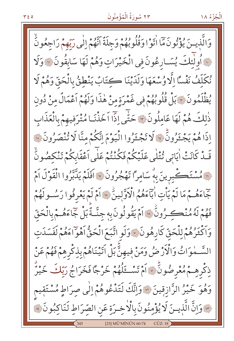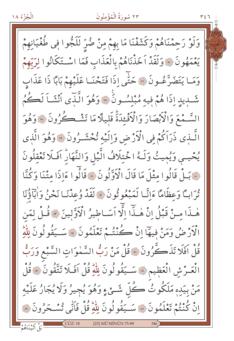# ٢٣ سُورَةُ الْمُؤْمِنُونَ

وَلَوْ رَحِمْنَاهُمْ وَكَشَفْنَا مَا بِهِمْ مِنْ ضُرِّ لَلَجُّوا فِي طُغْيَانِهِمْ يَعْمَهُونَ ۞ وَلَقَدْ اَخَذْنَاهُمْ بِالْعَذَابِ فَمَا اسْتَكَانُوا لِرَبِّهِمْ وَمَا يَتَضَرَّعُونَ ۞ حَتَّى إِذَا فَتَحْنَـا عَلَيْهِمْ بَابًا ذَا عَذَابٍ شَّـدِيدِ إِذَا هُمْ فِيهِ مُبْلِسُـونَ ۞ وَهُوَ الَّذِّي أَنْشَـاً لَكُمُ السَّـمْعَ وَالْأَبْصَارَ وَالْأَفْـئدَةُّ قَليلًا مَا تَشْـكُرُونَ ۞ وَهُوَ الَّـذِي ذَرَاكُمْ فِي الْأَرْضِ وَاِلَيْهِ تُحْشَـرُونَ ۞ وَهُوَ الَّذِي يُحْيِـى وَيُمِيتُ وَلَـهُ اخْتِلَافُ الَّيْلِ وَالنَّهَارُ افَلَلا تَعْقِلُونَ .<br>\* بَمِلْ قَالُوا مِثْلَ مَا قَالَ الْأَوَّلُونَ \* قَالُوا ءَاِذَا متْنَا وَكُنَّا تُرَابِّ وَعِظَامًا ءَاِنَّا لَمَبْعُوثُونَ \* لَقَدْ وُعِدْنَا نَحْنُ وَأَبَاؤُنَا هٰـذَا مـنْ قَبْلُ اِنْ هٰـذَا اِلَّا اَسَـاطِيرُ الْأَوَّلِينَ \* قُـلْ لِمَن الْأَرْضُ وَمَنْ فِيهَا إِنْ كُنْتُمْ تَعْلَمُونَ » سَــَقُولُونَ لِلْهِ قُلْ افَلَا تَذَكَّرُونَ ۞ قُلْ مَنْ رَبُّ السَّمٰوَاتِ السَّبْعِ وَرَبُّ الْعَــرْشِ الْعَظِيمِ ۞ سَــيَقُولُونَ لِلّهِ قُلْ آفَـلَا تَتَّقُونَ ۞ قُلْ مَنْ بِيَدِهِ مَلَكُوتُ كُلِّ شَــْيْءٍ وَهُوَ يُجِيرُ وَلَا يُجَارُ عَلَيْهِ اِنْ كُنْتُمْ تَعْلَمُونَ ۞ سَــَيْقُولُونَ لِلْهِ قُلْ فَاتَّى تُسْـحَرُونَ ۞

[23] MÜ'MİNÛN 75-89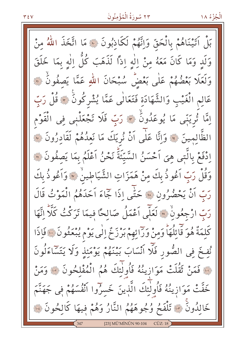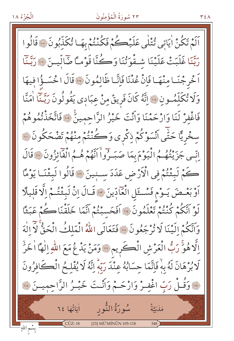# ٢٣ سُورَةُ الْمُؤْمِنُونَ

اَلَمْ تَكُنْ اٰيَاتِي ثُتْلَى عَلَيْڪُمْ فَكُنْتُمْ بِهَـا ثُكَذَّبُونَ ۚ ۚ قَالُوا رَبَّنَا غَلَبَتْ عَلَيْنَا شِغْوَتُنَا وَكُنَّا قَوْماً ضَالِّينَ ﴿ وَبَّنَّا اَخْرِجْنَـا مِنْهَـا فَإِنْ عُدْنَا فَإِنَّـا ظَالِمُونَ \* قَالَ اخْسَـؤُا فِيهَا وَلَا تُكَلِّمُونِ ۞ إِنَّهُ كَانَ فَرِيقٌ مِنْ عِبَادِي يَقُولُونَ رَبَّـنَا اٰمَنَّا فَاغْفِرْ لَنَا وَارْحَمْنَا وَأَنْتَ خَيْرُ الرَّاحِمِينَ ۚ ۚ فَاتَّخَذْتُمُوهُمْ سخْرِيًّا حَتَّى اَنْسَوْكُمْ ذِكْرِي وَكُنْتُمْ مِنْهُمْ تَضْحَكُونَ ۞ اِنِّي جَزَيْتُهُمُ الْيَوْمَ بِمَا صَبَـرُواْ أَنَّهُمْ هُـمُ الْفَأْئِزُونَ ۚ قَالَ كَمْ لَبِثْتُمْ فِي الْأَرْضِ عَدَدَ سِنبِينَ \* قَالُوا لَبِثْنَا يَوْمًا أَوْ بَعْـصَ يَـوْم فَسْـعَلِ الْعَادِّينَ \*"قَالَ إِنْ لَبِئْتُـمْ إِلَّا قَليلًا لَوْ أَتَّكُمْ كُنْتُمْ تَعْلَمُونَ ۚ إِلَّا أَفَحَسَبْتُمْ أَنَّمَا خَلَقْنَاكُمْ عَبَثًا وَاَنَّكُمْ إِلَيْنَا لَا تُرْجَعُونَ ۚ إِلَّا فَتَعَالَى اللَّهُ الْمَلكُ الْحَقُّ لَا الْهَ اِلَّا هُوَّ رَبُّ الْعَرْشِ الْكَرِيمِ ۚ وَمَنْ يَدْعُ مَعَ اللَّهِ اِلْهَا اٰ خَرِّ لَا بُرْهَانَ لَهُ بِهِ فَإِنَّمَا حِسَابُهُ عِنْدَ رَبَّهُ إِنَّهُ لَا يُفْلِحُ الْكَافِرُونَ مِنَّا وَقُـلْ رَبِّ اغْفِـرْ وَارْحَـمْ وَأَنْـتَ خَيْـرُ الرَّاحِمِيـنَ سَنَّ سُورَةُ النُّورِ لِمَاتَّهَا ٦٤ مَلَىٰتَةٌ  $CÜZ:18$ [23] MÜ'MİNÛN 105-118 بِسْمِ اللهِ <mark>"</mark>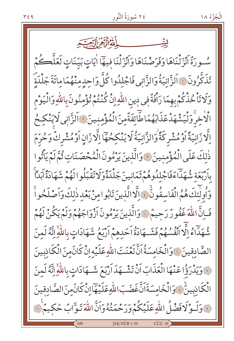سُورَةٌ أَنْزَلْنَاهَا وَفَرَضْنَاهَا وَأَنْزَلْنَا فِيهَا اٰيَاتٍ بَيّنَاتٍ لَعَلَّكُمْ تَذَكَّرُونَ ۞ اَلزَّانِيَةُ وَالزَّانِي فَاجْلِدُوا كُلَّ وَاحِدٍ مِنْهُمَا مِائَةَ جَلْدَةٌ وَلَا تَأْخُذْكُمْ بِهِمَا رَافَةٌ فِي دِينِ اللّهِ إِنْ كُنْتُمْ تُؤْمِنُونَ بِاللّهِ وَالْيَوْمِ الْاخرَوَلْيَشْهَدْعَذَابَهُمَا طَائِفَةٌمِنَ الْمُؤْمِنِينَ ﴾ الزَّانِي لَايَنْكِحُ اِلَّا زَانِيَةً أَوْ مُشْرِكَةً وَالزَّانِيَةُ لَا يَنْكِحُهَمَا اِلَّا زَانِ أَوْ مُشْرِكٌ وَحُرِّمَ ذٰلِكَ عَلَى الْمُؤْمِنِينَ \* وَالَّذِينَ يَرْمُونَ الْمُحْصَنَاتِ ثُمَّ لَمْ يَأْتُوا بِأَرْبَعَةِ شُهَدَاءَفَاجْلِلُوهُمْ ثَمَانِينَ جَلْدَةًوَلَا تَقْبَلُوالَهُمْ شَهَادَةً آبَداً وَأُولَٰئِكَ هُمُ الْفَاسِقُونَّ ۚ وَالَّا الَّذِينَ تَابُوا مِنْ بَعْدِ ذٰلِكَ وَاَصْلَحُواْ فَـاِنَّ اللَّهَ غَفُورٌ رَحِيمٌ وَالَّذِينَ يَرْمُونَ أَزْوَاجَهُمْ وَلَمْ يَكُنْ لَهُمْ شُهَدَاءُ إِلَّا أَنْفُسُهُمْ فَشَهَادَةُ اَحَدِهِمْ أَرْبَعُ شَهَادَاتٍ بِاللَّهِ إِنَّهُ لَمِنَ الصَّادِقِينَ ﴾ وَالْخَامِسَةُ اَنَّ لَعْنَتَ اللّهِ عَلَيْهِ إِنْ كَانَ مِنَ الْكَاذِبِينَ لِهَ وَيَدْرَؤُا عَنْهَا الْعَذَابَ اَنْ تَشْهِدَ اَرْبَعَ شَهَادَاتٍ بِاللَّهِ اِنَّهُ لَمِنَ الْكَادِبِينُ ﴾ وَالْخَامِسَةَانَّ غَضَبَ اللّهِ عَلَيْهَآاِنْ كَانَمنَ الصَّادقِينَ نَّهُ وَلَـوْلَا فَضْلُ اللَّهِ عَلَيْكُمْ وَرَحْمَتُهُ وَانَّ اللَّهَ تَـوَّابٌ حَكِيمٌ ۚ ۚ [24] NÛR 1-10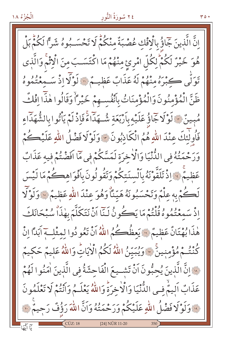إِنَّ الَّذِينَ جَمَاؤُ بِالْافْكِ عُصْبَةٌ مِنْكُمْ لَا تَحْسَـبُوهُ شَرًّا لَكُمْ بَلْ هُوَ خَيْرٌ لَكُمْ لِكُلِّ امْرِئِ مِنْهُمْ مَا اكْتَسَبَ مِنَ الْإِثْمُ وَالَّذِى تَوَلَّى كِبْرَهُ مِنْهُمْ لَهُ عَذَابٌ عَظِيمٌ " لَوْلَا إِذْ سَـمَعْنُمُوهُ ظَنَّ الْمُؤْمِنُونَ وَالْمُؤْمِنَاتُ بِاَنْفُسِـهِمْ خَيْرًاْ وَقَالُوا هٰذَا افْكُ مُبِينٌ ۞ لَوْلَاجَاؤُ عَلَيْهِ بِأَرْبَعَةِ شُهَدَاءً فَإِذْ لَمْ يَأْتُوا بِالشُّهَدَاء فَأُولٰئِكَ عِنْدَ اللَّهِ هُمُ الْكَادِبُونَ \* وَلَوْلَا فَضْلُ اللَّهِ عَلَيْكُمْ وَرَحْمَتُهُ فِي الدُّّنْيَا وَالْأَخِرَةِ لَمَسَّكُمْ فِي مَا افَضْتُمْ فِيهِ عَذَابٌ عَظِيمٌ ﴾ إِذْ تَلَقَّوْنَهُ بِٱلْسنَتِكُمْ وَتَقُولُونَ بِأَفْوَاهِكُمْ مَا لَيْسَ لَڪُمْ بِهِ عِلْمٌ وَتَحْسَبُونَهُ هَيّنَاً وَهُوَ عِنْدَ اللّهِ عَظِيمٌ ﴿ وَلَوْلَا إِذْ سَمِعْتُمُوهُ قُلْتُمْ مَا يَڪُونُ لَـنَا اَنْ نَتَكَلَّمَ بِهٰذَاْ سُبْحَانَكَ هٰذَا بُهْتَانٌ عَظِيمٌ ۚ يَعظُكُمُ اللَّهُ أَنْ تَعُو دُوا لِمِثْلِ آبَداً إِنْ كُنْتُـمْ مُؤْمِنِينَّ «وَيُبَيِّنُ اللّهُ لَكُمُ الْأَيَاتِ وَاللّهُ عَلِيمٌ حَكِيمٌ هِ إِنَّ الَّذِينَ يُحِبُّونَ اَنْ تَشْـيعَ الْفَاحِشَةُ فِي الَّذِينَ اٰمَنُوا لَهُمْ عَذَابٌ أَلِيمٌ في الدُّّنْيَا وَالْأَخِرَةَ وَاللَّهُ يَعْلَـمُ وَأَنْتُمْ لَا تَعْلَمُونَ لِنَّهُ وَلَوْلَا فَضْلُ اللَّهِ عَلَيْكُمْ وَرَحْمَتُهُ وَانَّ اللَّهَ رَؤُفٌ رَحِيمٌ لِنَّهَ [24] NÛR 11-20

۰ ه ۳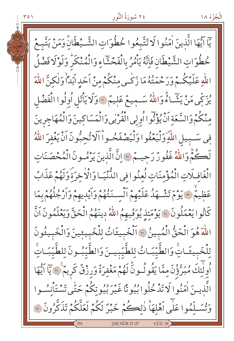٢٤ سُورَةُ النُّور الْجُزْءُ ١٨ يٓا أَيُّهَا الَّذينَ اٰمَنُوا لَا تَتَّبِعُوا خُطُوَاتِ الشَّـيْطَانُّ وَمَنْ يَتَّبِعْ خُطُوَاتِ الشَّيْطَانِ فَإِنَّهُ يَأْمُرُ بِالْفَحْشَاءِ وَالْمُنْكَرِ وَلَوْلَا فَضْلُ اللّٰهِ عَلَيْكُمْ وَرَحْمَتُهُ مَا زَكْـى مِنْكُمْ مِنْ اَحَدِ اَبَدَأْ وَلٰكِنَّ اللّٰهَ يُزَكِّي مَنْ يَشَاءُ وَاللَّهُ سَـمِيعٌ عَلِيمٌ ۞ وَلَا يَأْتَلِ أُوِلُوا الْفَضْلِ مِنْكُمْ وَالسَّعَةِ اَنْ يُؤْثُوا اُولِي الْقُرْبِي وَالْمَسَاكِينَ وَالْمُهَاجِرِينَ فِي سَـبِيلِ اللَّهِ وَلْيَعْفُوا وَلْيَصْفَحُـواً اَلَا تُحِبُّونَ اَنْ يَغْفرَ اللَّهُ لَكُمُّ وَاللَّهُ غَفُورٌ رَحِيهٌ، " إِنَّ الَّذِينَ يَرْمُـونَ الْمُحْصَنَاتِ الْغَافِلَاتِ الْمُؤْمِنَاتِ لُعِنُوا فِي الدُّنْيَـا وَالْاخِرَةَ وَلَهُمْ عَذَابٌ عَظِيمٌ \* يَوْمَ تَشْهَدُ عَلَيْهِمْ أَلْسَـنَتْهُمْ وَأَيْدِيهِمْ وَأَرْجُلُهُمْ بِمَا كَانُوا يَعْمَلُونَ ۚ وَيَوْمَئِذِ يُوَفِّيهِمُ اللَّهُ دِينَهُمُ الْحَقَّ وَيَعْلَمُونَ اَنَّ اللَّهَ هُوَ الْحَقُّ الْمُبِينُ ﴾ اَلْخَبِيثَاتُ لِلْخَبِيثِينَ وَالْخَبِيثُونَ لِلْخَبِيثَـاتِّ وَالطَّيِّبَـاتُ لِلطَّيِّبِيـنَ وَالطَّيِّبُـونَ لِلطَّيِّبَـاتِّ اُولٰئِكَ مُبَرَّؤُنَ مِمَّا يَقُولُونَّ لَهُمْ مَغْفِرَةٌ وَرِزْقٌ كَرِيمٌ ۚ لِمَّا يَآ اَيُّهَا الَّذِيــنَ اٰمَنُوا لَا تَدْخُلُوا بُيُو تًا غَيْرَ بُيُوتِكُمْ حَتَّى تَسْتَأْنِسُـوا وَتُسَلَّمُوا عَلَى آهْلهَا ذٰلكُمْ خَيْرٌ لَكُمْ لَعَلَّكُمْ تَذَكَّرُونَ ۞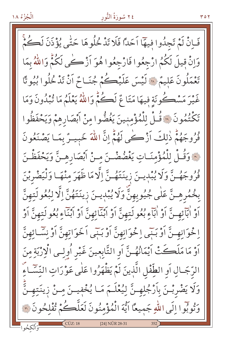#### ٢٤ سُورَةُ النُّور

فَـاِنْ لَمْ تَجِلُوا فِيهَا اَحَدًا فَلَا تَدْخُلُوهَا حَتّٰى يُؤْذَنَ لَكُمّْ وَإِنْ قِيلَ لَكُمُ ارْجِعُوا فَارْجِعُوا هُوَ اَزْكَے لَكُمٌّ وَاللَّهُ بِمَا تَعْمَلُونَ عَلِيمٌ \* لَيْسَ عَلَيْڪُمْ جُنَباحٌ أَنْ تَدْخُلُوا بُيُو تَا غَيْرَ مَسْڪُونَةِ فِيهَا مَتَا مٌ لَڪُمْ وَاللَّهُ يَعْلَمُ مَا تُبْدُونَ وَمَا تَكْتُمُونَ لِنَاقُلْ لِلْمُؤْمِنِينَ يَغُضُّوا مِنْ أَبْصَارِهِمْ وَيَحْفَظُوا فُرُوجَهُمّْ ذٰلكَ اَزْكُبِي لَهُمّْ إِنَّ اللَّهَ خَبِيسٌ بِمَا يَصْنَعُونَ نَ ۚ وَقُـلْ لِلْمُؤْمِنَـاتِ يَغْضُضْـنَ مِـنْ اَبْصَارِهِـنَّ وَيَحْفَظْـنَ فُرُوجَهُـنَّ وَلَا يُبْدِينَ زِينَتَهُـنَّ إِلَّا مَا ظَهَرَ مِنْهَـا وَلْيَضْرِبْنَ بِخُمُرِهِـنَّ عَلٰى جُيُوبِهِنَّ وَلَا يُبْدِينَ زِينَتَهُنَّ اِلَّا لِبُعُولَتِهِنَّ اَوْ اٰبَآئِهِـنَّ اَوْ اٰبَآءِ بُعُولَتِهِنَّ اَوْ ابْنَآئِهِنَّ اَوْ اَبْنَآءِ بُعُولَتِهِنَّ اَوْ اِ خُوَانِهِـنَّ أَوْ بَنِّي اِ خُوَانِهِنَّ أَوْ بَنِّي اَ خَوَاتِهِنَّ أَوْ نِسَّائِهِنَّ اَوْ مَا مَلَكَتْ أَيْمَانُهُـنَّ اَوِ التَّابِعِينَ غَيْرِ اُولِـي الْإِرْبَةِ مِنَ الرَّجَـالِ أَو الطِّفْلِ الَّذِينَ لَمْ يَظْهَرُوا عَلَٰى عَوْرَاتِ النِّسَّـاءِ وَلَا يَضْرِبْـنَ بِأَرْجُلِهِـنَّ لِيُعْلَـمَ مَـا يُخْفِيــنَ مِــنْ زِينَتِهِــنَّ وَتُوبُوا إِلَى اللَّهِ جَمِيعًا آيُّهَ الْمُؤْمِنُونَ لَعَلَّكُمْ تُفْلِحُونَ ٢ [24] NÛR 28-31

۲ ٥ ۲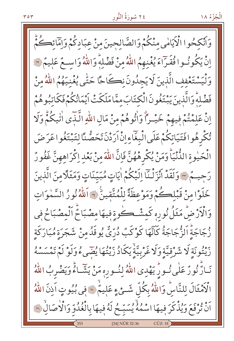وَأَنْكِحُوا الْأَيَامٰى مِنْكُمْ وَالصَّالِحِينَ منْ عِبَادِكُمْ وَإِمَّانَكُمْ إِنَّ يَكُونُهُوا فُقَيِّراءَ يُغْنِهِمُ اللَّهُ مِنْ فَضْلِهِ وَاللَّهُ وَاسِعٌ عَلِيهٌ ۞ وَلْيَسْتَعْفِف الَّذِينَ لَا يَجِدُونَ نِكَاحًا حَتَّى يُغْنِيَهُمُ اللَّهُ مِنْ فَضْلِهُ وَالَّذِينَ يَبْتَغُونَ الْكِتَابَ مِمَّا مَلَكَتْ أَيْمَانُكُمْ فَكَاتِبُوهُمْ إِنْ عَلِمْتُمْ فِيهِمْ خَيْـرًا وَاْتُوهُمْ مِنْ مَالِ اللّهِ الَّذَى اٰتِيكُمّْ وَلَا تُكْرِهُوافَتَيَاتِكُمْ عَلَى الْبِغَاءِإِنْْ أَرَدْنَ تَحَصُّنَّا لِتَبْتَغُوا عَرَضَ الْحَيْوِةِ الدُّنْيَاْ وَمَنْ يُكْرِهْهُنَّ فَإِنَّ اللَّهَ مِنْ بَعْدِ اِكْرَاهِهِنَّ غَفُورٌ رَحيهُمْ ﴾ وَلَقَدْ أَنْزَلْنَا إِلَيْكُمْ اٰيَاتٍ مُبَيّنَاتٍ وَمَثَلًا مِنَ الَّذِينَ خَلَوْا مِنْ قَبْلِكُمْ وَمَوْعِظَةً لِلْمُتَّقِينَ \* اَللّهُ نُورُ السَّمٰوَاتِ وَالْأَرْضِ مَثَلُ نُورِهِ كَمِشْكِوةٍ فِيهَا مِصْبَاحٌ اَلْمِصْبَاحُ فِي زُجَاجَةً اَلزُّجَاجَةُ كَانَّهَا كَوْكَبٌ دُرِّيٌّ يُوقَدُ مِنْ شَجَرَةِ مُبَارَكَةِ رَّيْتُونَةِ لَا شَرْقِيَّةِ وَلَا غَرْبِيَّةٌ يَكَادُ زَيْتُهَا يُضَىءُ وَلَوْ لَمْ تَمْسَسْهُ نَـارٌّ نُورٌ عَلٰى نُـورٌ يَهْدِى اللّهُ لِنُـورِهِ مَنْ يَشَّـاءُ وَيَضْرِبُ اللّهُ الْأَمْثَالَ لِلنَّاسِّ وَاللَّهُ بِكُلِّ شَـيْءٍ عَلِيمٌ ۞ فِي بُيُوتٍ اَذِنَ اللَّهُ اَنْ تُرْفَعَ وَيُذْكَرَ فِيهَا اسْمُهُ يُسَبِّحُ لَهُ فِيهَا بِالْغُدُوِّ وَالْأَصَالِ ۚ وَ [24] NÛR 32-36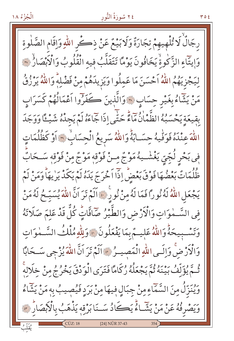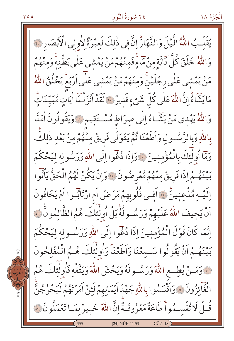يُقَلِّبُ اللَّهُ الَّيْلَ وَالنَّهَارُّ إِنَّ فِي ذٰلكَ لَعِبْرَةً لِأُولِي الْأَبْصَارِ ﴾ وَاللَّهُ خَلَقَ كُلِّ دَابَّةٍ مِنْ مَاءٍ فَمِنْهُمْ مَنْ يَمْشَى عَلَى بَطْنِهِ وَمِنْهُمْ مَنْ يَمْشِي عَلٰى رِجْلَيْنَ وَمِنْهُمْ مَنْ يَمْشِي عَلٰى اَرْبَعُ يَخْلُقُ اللّٰهُ مَا يَشَاءُ إِنَّ اللَّهَ عَلَى كُلِّ شَيْءٍ قَدِيرٌ ۞ لَقَدْ أَنْزَلْنَا أَيَاتٍ مُبَيِّنَاتٍّ وَاللَّهُ يَهْدِي مَنْ يَشَاءُ إِلَى صِرَاطٍ مُسْتَقِيمٍ ۞ وَيَقُولُونَ أُمَنَّا بِاللَّهِ وَبِالرَّسُـولِ وَاَطَعْنَا ثُمَّ يَتَوَلَّى فَرِيقٌ مِنْهُمْ مِنْ بَعْدِ ذٰلِكَ وَمَّا أُولٰئِكَ بِالْمُؤْمِنِينَ \* وَإِذَا دُغُوا إِلَى اللَّهِ وَرَسُولِهِ لِيَحْكُمَ بِينَهُمْ إِذَا فَرِيقٌ مِنْهُمْ مُعْرِضُونَ \* وَإِنْ يَكُنْ لَهُمُ الْحَقُّ يَأْتُوا اِلَيْـهِ مُذْعِنِينٌ ﴾ آفِـي قُلُوبِهِمْ مَرَضٌ آمِ ارْتَابُـوا آمْ يَخَافُونَ اَنْ يَجِيفَ اللَّهُ عَلَيْهِمْ وَرَسُولُهُ بَلْ أُولَٰئِكَ هُمُ الظَّالِمُونَ ۚ ﴾ اِنَّمَا كَانَ قَوْلَ الْمُؤْمِنِينَ إِذَا دُغْوا إِلَى اللَّهِ وَرَسُـولِهِ لِيَحْكُمَ بَيْنَهُمْ أَنْ يَقُولُوا سَمِعْنَا وَأَطَعْنَاً وَأُولَٰئِكَ هُمُ الْمُفْلِحُونَ لَّهَ وَمَسْ يُطِعِ اللَّهَ وَرَسُولَهُ وَيَخْشَ اللَّهَ وَيَتَّقَّهِ فَأُولَٰئِكَ هُمُ الْفَآئِزُونَ ۞ وَآقْسَمُوا بِاللَّهِ جَهْدَ آيْمَانِهِمْ لَئِنْ آمَرْتَهُمْ لَيَخْرُجُنَّ قُـلْ لَا تُقْسِـمُواْ طَاعَةٌ مَعْرُوفَـةٌ إِنَّ اللَّهَ خَبِيرٌ بِمَـا تَعْمَلُونَ \* [24] NÛR 44-53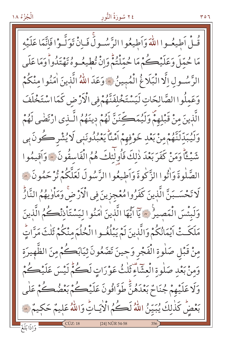# ٢٤ سُورَةُ النُّور

قُلْ أَطِيعُهوا اللَّهَ وَأَطِيعُوا الرَّسُسولِّ فَبِانْ تَوَلَّـوْا فَانَّمَا عَلَيْه مَا حُمّلَ وَعَلَيْكُمْ مَا حُمّلْتُمّْ وَإِنْ تُطِيعُوهُ تَهْتَدُواْ وَمَا عَلَى الرَّسُولِ اِلَّا الْبَلَاغُ الْمُبِينُ ﴾ وَعَدَ اللّٰهُ الَّذِينَ اٰمَنُوا منْكُمْ وَعَمِلُوا الصَّالِحَاتِ لَيَسْتَخْلِفَنَّهُمْ فِي الْأَرْضِ كَمَا اسْتَخْلَفَ الَّذِينَ مِنْ قَبْلِهِمْ وَلَيُمَكِّنَنَّ لَهُمْ دِينَهُمُ الَّـذى ارْتَضٰى لَهُمْ وَلَيُبَدِّلَنَّهُمْ مِنْ بَعْدِ خَوْفِهِمْ أَمْنًا يَعْبُدُونَنِي لَا يُشْرِكُونَ بِي شَيْءًا وَمَنْ كَفَرَبَعْدَ ذٰلِكَ فَأُولٰئِكَ هُمُ الْفَاسِقُونَ ۞ وَاَقِيمُوا الصَّلٰوةَ وَاْتُوا الزَّكٰوةَ وَاَطِيعُوا الزَّسُولَ لَعَلَّكُمْ تُرْحَمُونَ ۞ لَا تَحْسَـبَنَّ الَّذِينَ كَفَرُوا مُعْجزِينَ فِي الْأَرْضَّ وَمَأْوٰيهُمُ النَّارُّ وَلَبِئْسَ الْمَصِيرُ ﴾ يَآ ايُّهَا الَّذِينَ اٰمَنُوا لِيَسْتَأْذِنْكُمُ الَّذِينَ مَلَكَتْ أَيْمَانُكُمْ وَالَّذِينَ لَمْ يَبْلُغُـوا الْحُلُمَ منْكُمْ ثَلْثَ مَرَّاتٍّ مِنْ قَبْلِ صَلْوةِ الْفَجْرِ وَحِينَ تَضَعُونَ ثِيَابَكُمْ مِنَ الظَّهِيرَةِ وَمِنْ بَعْدِ صَلْوةِ الْعِشَاءِ ثَلْثُ عَوْرَاتٍ لَڪُمْ لَيْسَ عَلَيْڪُمْ وَلَا عَلَيْهِمْ جُنَاحٌ بَعْدَهُنَّ طَوَّافُونَ عَلَيْڪُمْ بَعْضُڪُمْ عَلٰى بَعْضٌ كَذٰلِكَ يُبَيِّنُ اللَّهُ لَكُمُ الْأَيَـاتِّ وَاللَّهُ عَلِيمٌ حَكِيمٌ ۞ [24] NÛR 54-58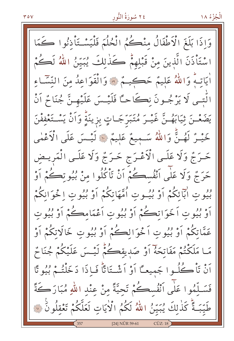وَإِذَا بَلَغَ الْأَطْفَالُ مِنْكُمُ الْحُلُّمَ فَلْيَسْتَأْذُنُوا كَمَا ا سْتَأْذَنَ الَّذِينَ مِنْ قَبْلِهِمْ كَذٰلِكَ يُبَيِّنُ اللَّهُ لَكُمْ أَيَاتِـهُ وَاللَّهُ عَلَيْمٌ حَڪِيـمٌ ۞ وَالْقَوَاعِدُ مِنَ النِّسَّـاءِ الُّتــي لَا يَرْجُــونَ نڪَاحــًا فَلَيْــسَ عَلَيْهــنَّ جُنَا ثُمّ اَنْ يَضَعْـنَ ثِيَابَهُـنَّ غَيْـرَ مُتَبَرِّجَـاتٍ بِزِينَةٍ وَأَنْ يَسْـتَعْفِفْنَ خَيْـرٌ لَهُـنٌّ وَاللهُ سَـمِيعٌ عَلِيمٌ ۞ لَيْـسَ عَلَى الْأَعْمٰى حَرَجٌ وَلَا عَلَـى الْأَعْـرَجِ حَـرَجٌ وَلَا عَلَـى الْمَريـضِ حَرَجٌ وَلَا عَلَى اَنْفُسِكُمْ اَنْ تَأْكُلُوا مِنْ بُيُوتِكُمْ اَوْ بُيُوتِ ابَائِكُمْ أَوْ بُيُــوتِ أُمَّهَاتِكُمْ أَوْ بُيُوتِ اِ خُوَانِكُمْ أَوْ بُيُوتِ اَخَوَاتِكُمْ أَوْ بُيُوتِ اَعْمَامِكُمْ أَوْ بُيُوتِ عَمَّاتِكُمْ أَوْ بُيُوتِ اَخْوَالِكُمْ أَوْ بُيُوتٍ خَالَاتِكُمْ أَوْ مَـا مَلَكْتُمْ مَفَاتِحَهُ أَوْ صَدِيقِكُمْ لَيْـسَ عَلَيْكُمْ جُنَا مُّ أَنْ تَأْكُلُوا جَمِيعًا أَوْ أَشْتَاتًا فَإِذَا دَخَلْتُمْ بُيُوتًا فَسَلَّمُوا عَلَى أَنْفُسِكُمْ تَحِيَّةً مِنْ عِنْدِ اللَّهِ مُبَارَكَةً طَيّبَةً كَذٰلكَ يُبَيّنُ اللّهُ لَكُمُ الْأَيَاتِ لَعَلَّكُمْ تَعْقِلُونَ ۚ لَلَّهَ [24] NÛR 59-61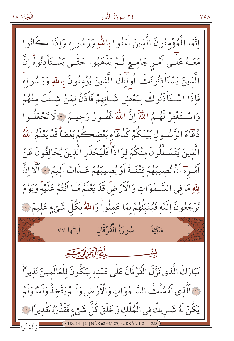الْجُزْءُ ١٨

اِنَّمَا الْمُؤْمِنُونَ الَّذِينَ اٰمَنُوا بِاللَّهِ وَرَسُولِهِ وَإِذَا كَانُوا مَعَـهُ عَلٰـى اَمْـرِ جَامِـعِ لَـمْ يَذْهَبُوا حَتّٰـى يَسْـتَأْذِنُوهُ اِنَّ الَّذِينَ يَسْتَأْذِنُونَكَ أُولَئِكَ الَّذِينَ يُؤْمِنُونَ بِاللَّهِ وَرَسُولِهِ فَاذَا اسْتَأْذَنُوكَ لِبَعْضِ شَـاْنِهِمْ فَاْذَنْ لِمَنْ شَـئْتَ مِنْهُمْ وَاسْتَغْفِرْ لَهُـمُ اللَّهِ إِنَّ اللَّهَ غَفُـورٌ رَحِيـمٌ \* لَا تَجْعَلُـوا دُعَاءَ الرَّسُولِ بَيْنَكُمْ كَدُعَاءِ بَعْضِكُمْ بَعْضَاً قَدْ يَعْلَمُ اللَّهُ الَّذِينَ يَتَسَـلَّلُونَ منْكُمْ لوَاذاً فَلْيَحْذَرِ الَّذِينَ يُخَالفُونَ عَنْ أَمْسِرِمَ أَنْ تُصِيبَهُمْ فِتْنَــةٌ أَوْ يُصِيبَهُمْ عَــذَابٌ أَلِيمٌ \* أَلَّا انَّ لِلّٰهِ مَا فِي السَّـٰمٰوَاتِ وَالْأَرْضُ قَدْ يَعْلَمُ مَّـا أَنْتُمْ عَلَيْهُ وَيَوْمَ دُورٍ مِّونَ إِلَيْهِ فَيُنَبِّئُهُمْ بِمَا عَمِلُواْ وَاللَّهُ بِكُلِّ شَيْءٍ عَلِيمٌ فَلَا مَكِّيَّةٌ الله الرقي التحرير يشـــــــ تَبَارَكَ الَّذِي نَزَّلَ الْفُرْقَانَ عَلٰى عَبْدِهِ لِيَكُونَ لِلْعَالَمِينَ نَذِيراً لِ ٱلَّذِي لَهُ مُلْكُ السَّـهٰوَاتِ وَالْأَرْضِ وَلَـمْ يَتَّخِذْ وَلَدًّا وَلَمْ يَكُنْ لَهُ شَــرِيكٌ فِي الْمُلْكِ وَخَلَقَ كُلَّ شَيْءٍ فَقَدَّرَهُ تَقْدِيرًا فَ NÜR 62-64/ [25] FURKÄN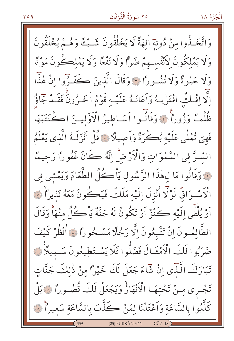#### $409$

#### ٢٥ سُورَةُ الْفُرْقَانِ

وَاتَّخَـٰذُوا منْ دُونَةَ الهَةً لَا يَخْلُقُونَ شَـٰيْئًا وَهُـُمْ يُخْلَقُونَ وَلَا يَمْلِكُونَ لِأَنْفُسِهِمْ ضَرًّا وَلَا نَفْعًا وَلَا يَمْلِكُونَ مَوْتًا وَلَا حَيْوةً وَلَا نُشُورًا \* وَقَالَ الَّذِينَ كَفَـرُوا إِنْ هٰذَّا الَّا افْلُكُ افْتَرٰيهُ وَاَعَانَهُ عَلَيْهِ قَوْمٌ الْخَـرُونَ فَقَـدْ جَاؤُ ظُلْماً وَزُوراً فَ وَقَالُوا اَسَاطِيرُ الْأَوَّلِينَ اكْتَتَبَهَا فَهِيَ تُمْلَى عَلَيْهِ بُكْرَةً وَاَصِيلًا ﴾ قُلْ اَنْزَلَـهُ الَّذِي يَعْلَمُ السَّرَّ في السَّمٰوَاتِ وَالْأَرْضِّ إِنَّهُ كَانَ غَفُوراً رَحِيمًا نَّةٍ وَقَالُوا مَا لِهٰذَا الرَّسُولِ يَأْكُلُ الطَّعَامَ وَيَمْشَى في الْكَسْـوَاقُّ لَوْلَا أُنْزِلَ اِلَيْهِ مَلَكٌ فَيَكْونَ مَعَهُ نَذِيراً لَهَ اَوْ يُلْقَى اِلَيْهِ كَنْزٌ اَوْ تَكُونُ لَهُ جَنَّةٌ يَاْكُلُ مِنْهَاْ وَقَالَ الظَّالمُونَ إِنْ تَتَّبِعُونَ إِلَّا رَجُلًا مَسْـحُو رَّا ﴾ أَنْظُرْ كَيْفَ صَرَبُوا لَكَ الْأَمْثَـالَ فَضَلُّوا فَلَا يَسْتَطِيعُونَ سَـبِيلًا فِي تَبَارَكَ الَّنَّدَى إِنْ شَّاءَ جَعَلَ لَكَ خَيْرًا مِنْ ذٰلِكَ جَنَّاتٍ تَجْرِي مِنْ تَحْتِهَا الْأَنْهَارُ وَيَجْعَلْ لَكَ قُصُوراً ۞ بَلْ كَذّْبُوا بالسَّاعَةِ وَاَعْتَدْنَا لِمَنْ كَذَّبَ بالسَّاعَةِ سَعِيراً ۞ [25] FURKÂN 3-11